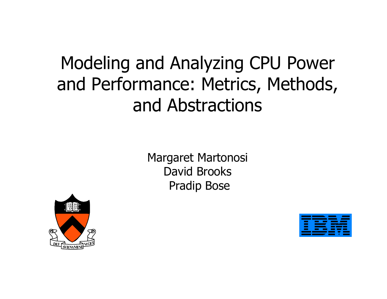## Modeling and Analyzing CPU Power and Performance: Metrics, Methods, and Abstractions

Margaret Martonosi David BrooksPradip Bose



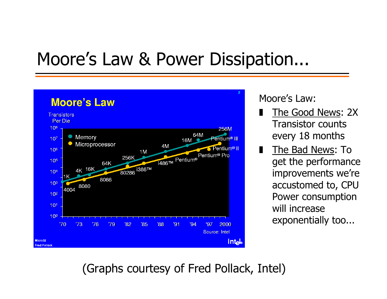### Moore's Law & Power Dissipation...



Moore's Law:

- ❚ The Good News: 2X Transistor counts every 18 months
- ❚The Bad News: To get the performance improvements we're accustomed to, CPU Power consumption will increase exponentially too...

(Graphs courtesy of Fred Pollack, Intel)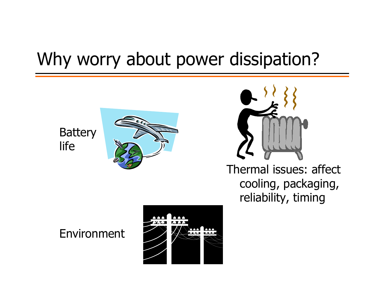### Why worry about power dissipation?

**Battery** life





Thermal issues: affect cooling, packaging, reliability, timing

#### Environment

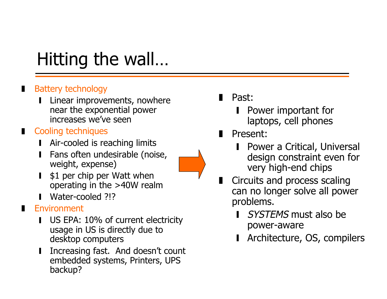# Hitting the wall…

#### ❚Battery technology

- ❙ Linear improvements, nowhere near the exponential power increases we've seen
- Cooling techniques
	- **■** Air-cooled is reaching limits
	- ❙ Fans often undesirable (noise, weight, expense)
	- ❙\$1 per chip per Watt when operating in the >40W realm
	- ❙Water-cooled ?!?

#### Environment

❚

- ❙ US EPA: 10% of current electricity usage in US is directly due to desktop computers
- ❙ Increasing fast. And doesn't count embedded systems, Printers, UPS backup?
- Past:
	- Power important for laptops, cell phones
- ❚ Present:
	- **Ⅰ** Power a Critical, Universal design constraint even for very high-end chips
- ❚ Circuits and process scaling can no longer solve all power problems.
	- **SYSTEMS** must also be power-aware
	- Architecture, OS, compilers

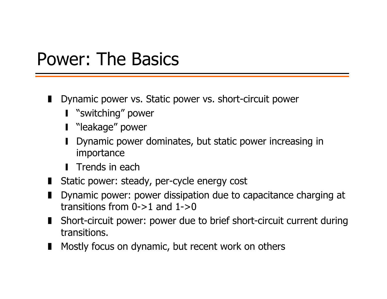#### Power: The Basics

- Dynamic power vs. Static power vs. short-circuit power
	- ❙ "switching" power
	- ❙ "leakage" power
	- ❙ Dynamic power dominates, but static power increasing in importance
	- **Trends in each**
- Static power: steady, per-cycle energy cost
- Dynamic power: power dissipation due to capacitance charging at transitions from  $0\rightarrow 1$  and  $1\rightarrow 0$
- Short-circuit power: power due to brief short-circuit current during transitions.
- Mostly focus on dynamic, but recent work on others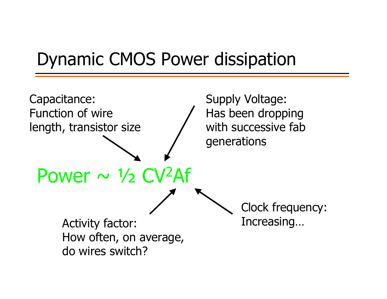### Dynamic CMOS Power dissipation

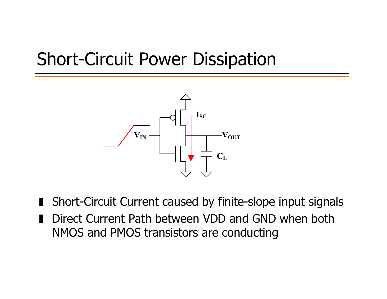### Short-Circuit Power Dissipation



■ Short-Circuit Current caused by finite-slope input signals

❚ Direct Current Path between VDD and GND when both NMOS and PMOS transistors are conducting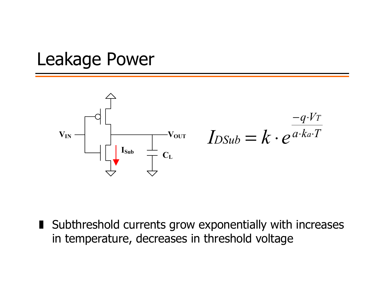### Leakage Power



■ Subthreshold currents grow exponentially with increases in temperature, decreases in threshold voltage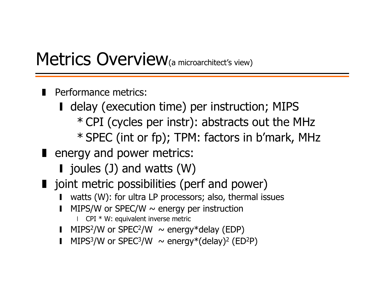#### Metrics Overview(a microarchitect's view)

- Performance metrics:
	- delay (execution time) per instruction; MIPS \* CPI (cycles per instr): abstracts out the MHz \* SPEC (int or fp); TPM: factors in b'mark, MHz
- energy and power metrics:
	- joules (J) and watts (W)
- joint metric possibilities (perf and power)
	- ❙watts (W): for ultra LP processors; also, thermal issues
	- ❙MIPS/W or SPEC/W  $\sim$  energy per instruction
		- $\Box$  CPI  $*$  W: equivalent inverse metric
	- MIPS<sup>2</sup>/W or SPEC<sup>2</sup>/W  $\sim$  energy\*delay (EDP)
	- ❙MIPS<sup>3</sup>/W or SPEC<sup>3</sup>/W  $\sim$  energy<sup>\*</sup>(delay)<sup>2</sup> (ED<sup>2</sup>P)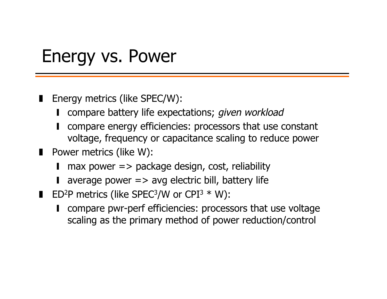#### Energy vs. Power

- ❚ Energy metrics (like SPEC/W):
	- ❙compare battery life expectations; given workload
	- ❙ compare energy efficiencies: processors that use constant voltage, frequency or capacitance scaling to reduce power
- Power metrics (like W):
	- ❙max power  $\Rightarrow$  package design, cost, reliability
	- average power => avg electric bill, battery life
- $\blacksquare$  ED<sup>2</sup>P metrics (like SPEC<sup>3</sup>/W or CPI<sup>3</sup> \* W):
	- compare pwr-perf efficiencies: processors that use voltage scaling as the primary method of power reduction/control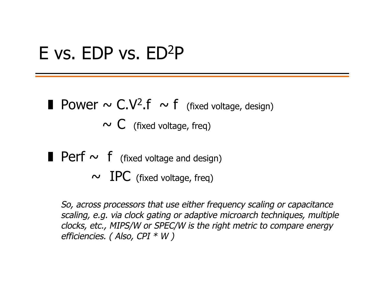#### E vs. EDP vs. ED2P

■ Power  $\sim$  C.V<sup>2</sup>.f  $\sim$  f (fixed voltage, design)

 $\sim C$  (fixed voltage, freq)

- **Perf**  $\sim$  **f** (fixed voltage and design)
	- $\sim$  IPC (fixed voltage, freq)

So, across processors that use either frequency scaling or capacitance scaling, e.g. via clock gating or adaptive microarch techniques, multiple clocks, etc., MIPS/W or SPEC/W is the right metric to compare energy efficiencies. (Also, CPI \* W)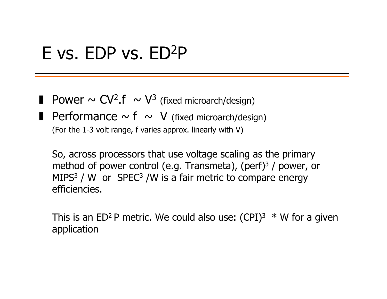#### E vs. EDP vs. ED2P

- **Power**  $\sim$  CV<sup>2</sup>.f  $\sim$  V<sup>3</sup> (fixed microarch/design)
- **Performance**  $\sim$  f  $\sim$  V (fixed microarch/design)

(For the 1-3 volt range, f varies approx. linearly with V)

 So, across processors that use voltage scaling as the primary method of power control (e.g. Transmeta), (perf) $3/$  power, or MIPS<sup>3</sup> / W or SPEC<sup>3</sup> /W is a fair metric to compare energy efficiencies.

This is an ED<sup>2</sup> P metric. We could also use:  $(CPI)^3 * W$  for a given application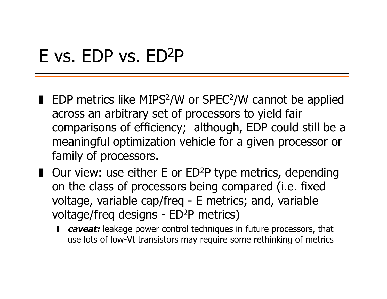### E vs. EDP vs. ED2P

- EDP metrics like MIPS<sup>2</sup>/W or SPEC<sup>2</sup>/W cannot be applied across an arbitrary set of processors to yield fair comparisons of efficiency; although, EDP could still be a meaningful optimization vehicle for a given processor or family of processors.
- Our view: use either E or ED<sup>2</sup>P type metrics, depending on the class of processors being compared (i.e. fixed voltage, variable cap/freq - E metrics; and, variable voltage/freq designs - ED<sup>2</sup>P metrics)
	- ❙ **caveat:** leakage power control techniques in future processors, that use lots of low-Vt transistors may require some rethinking of metrics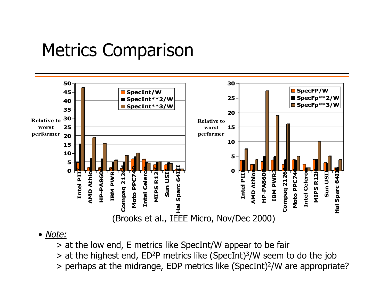#### Metrics Comparison



#### • Note:

> at the low end, E metrics like SpecInt/W appear to be fair

> at the highest end, ED 2P metrics like (SpecInt) 3/W seem to do the job

> perhaps at the midrange, EDP metrics like (SpecInt) 2/W are appropriate?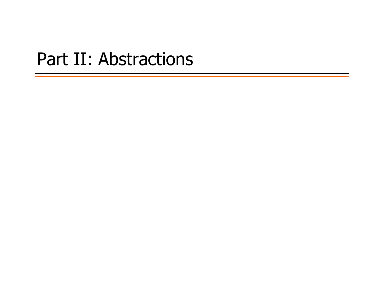#### Part II: Abstractions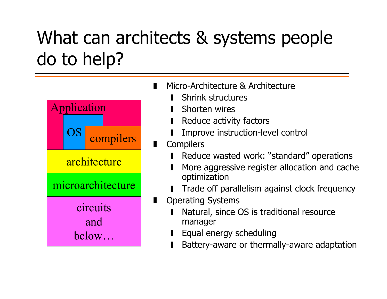## What can architects & systems people do to help?



- Micro-Architecture & Architecture
	- ❙Shrink structures
	- ❙Shorten wires
	- ❙Reduce activity factors
	- ❙Improve instruction-level control
- $\blacksquare$ **Compilers** 
	- ❙Reduce wasted work: "standard" operations
	- ❙ More aggressive register allocation and cache optimization
	- ❙Trade off parallelism against clock frequency
- ❚ Operating Systems
	- ❙ Natural, since OS is traditional resource manager
	- ❙Equal energy scheduling
	- ❙Battery-aware or thermally-aware adaptation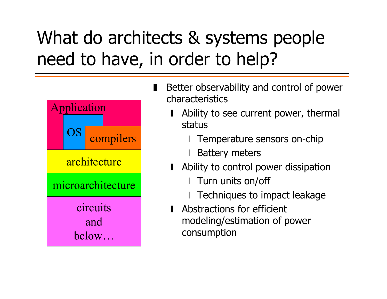## What do architects & systems people need to have, in order to help?

❘



- ❚ Better observability and control of power characteristics
	- Ability to see current power, thermal status
		- Temperature sensors on-chip
		- Battery meters
	- Ability to control power dissipation
		- ❘I Turn units on/off
		- Techniques to impact leakage
	- **■** Abstractions for efficient modeling/estimation of power consumption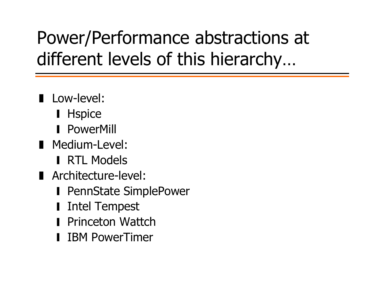## Power/Performance abstractions at different levels of this hierarchy…

- **Low-level:** 
	- **∎** Hspice
	- **PowerMill**
- ❚ Medium-Level:
	- **RTL Models**
- Architecture-level:
	- **Ⅰ PennState SimplePower**
	- ❙Intel Tempest
	- **Princeton Wattch**
	- ❙IBM PowerTimer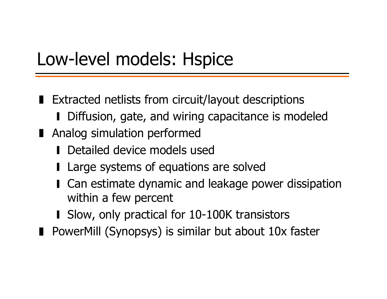## Low-level models: Hspice

- Extracted netlists from circuit/layout descriptions ■ Diffusion, gate, and wiring capacitance is modeled
- Analog simulation performed
	- **■** Detailed device models used
	- **Large systems of equations are solved**
	- Can estimate dynamic and leakage power dissipation within a few percent
	- Slow, only practical for 10-100K transistors
- PowerMill (Synopsys) is similar but about 10x faster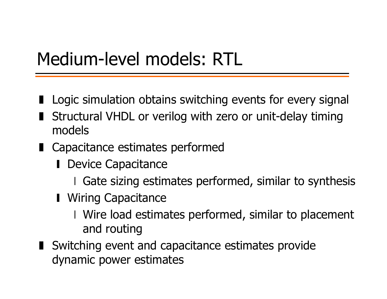## Medium-level models: RTL

- Logic simulation obtains switching events for every signal
- Structural VHDL or verilog with zero or unit-delay timing models
- Capacitance estimates performed
	- **Ⅰ Device Capacitance** 
		- ❘Gate sizing estimates performed, similar to synthesis
	- **Ⅰ** Wiring Capacitance
		- ❘ Wire load estimates performed, similar to placement and routing
- Switching event and capacitance estimates provide dynamic power estimates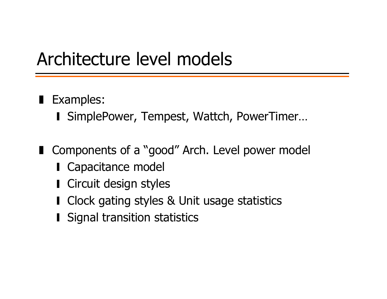### Architecture level models

- **Examples:** 
	- ❙ SimplePower, Tempest, Wattch, PowerTimer…
- Components of a "good" Arch. Level power model
	- **Capacitance model**
	- Circuit design styles
	- Clock gating styles & Unit usage statistics
	- **I** Signal transition statistics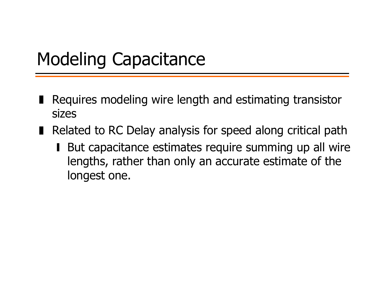## Modeling Capacitance

- ❚ Requires modeling wire length and estimating transistor sizes
- Related to RC Delay analysis for speed along critical path
	- But capacitance estimates require summing up all wire lengths, rather than only an accurate estimate of the longest one.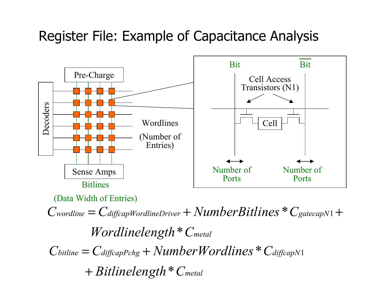#### Register File: Example of Capacitance Analysis



(Data Width of Entries)

 $World inelength * C_{metal}$  $C_{wordline} = C_{diffeapWorldineDriver} + NumberBitlines * C_{gatecapN}$ \*\*  $C_{\text{gatecap}N1}$  +  $\emph{Bitlinelength}$   $\displaystyle{^\ast$   $C_{\sf metal}$  $C_{\text{bitline}} = C_{\text{diffeapPchg}} + \text{NumberWorldines} * C_{\text{diffeapN}}$ \*+ Bitlinelength \* $=$  C diffcapPchg  $+$  NumberW ordlines  $*$  C diffcapN1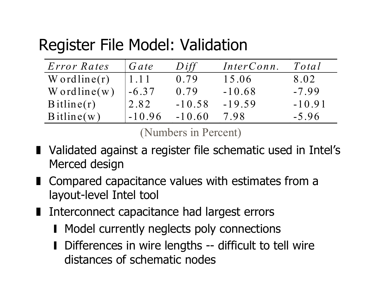#### Register File Model: Validation

| <i>Error Rates</i> | Gate     | Diff     | InterConn. | Total    |
|--------------------|----------|----------|------------|----------|
| W ordline $(r)$    | 1.11     | 0.79     | 15.06      | 8.02     |
| $W$ ordline(w)     | $-6.37$  | 0.79     | $-10.68$   | $-7.99$  |
| $B$ itline $(r)$   | '2.82    | $-10.58$ | $-19.59$   | $-10.91$ |
| Bitline(w)         | $-10.96$ | $-10.60$ | 7.98       | $-5.96$  |

(Numbers in Percent)

- Validated against a register file schematic used in Intel's Merced design
- Compared capacitance values with estimates from a layout-level Intel tool
- Interconnect capacitance had largest errors
	- Model currently neglects poly connections
	- Differences in wire lengths -- difficult to tell wire distances of schematic nodes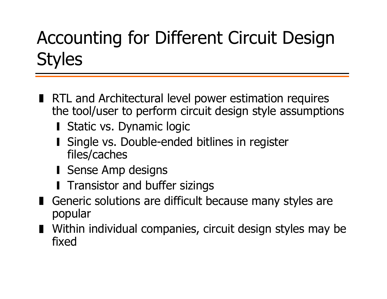## Accounting for Different Circuit Design **Styles**

- RTL and Architectural level power estimation requires the tool/user to perform circuit design style assumptions
	- Static vs. Dynamic logic
	- Single vs. Double-ended bitlines in register files/caches
	- ❙ Sense Amp designs
	- **I** Transistor and buffer sizings
- Generic solutions are difficult because many styles are popular
- Within individual companies, circuit design styles may be fixed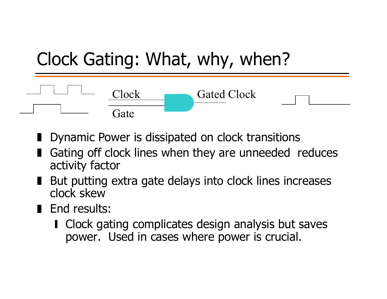

- Dynamic Power is dissipated on clock transitions
- Gating off clock lines when they are unneeded reduces activity factor
- But putting extra gate delays into clock lines increases clock skew
- End results:
	- Clock gating complicates design analysis but saves power. Used in cases where power is crucial.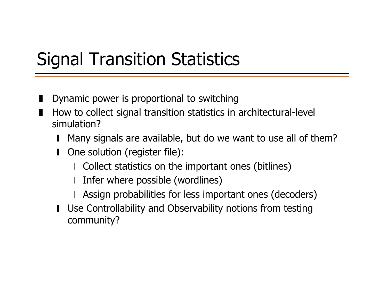## Signal Transition Statistics

- ❚Dynamic power is proportional to switching
- ❚ How to collect signal transition statistics in architectural-level simulation?
	- ❙Many signals are available, but do we want to use all of them?
	- ❙ One solution (register file):
		- Collect statistics on the important ones (bitlines)
		- ❘Infer where possible (wordlines)
		- Assign probabilities for less important ones (decoders)
	- Use Controllability and Observability notions from testing community?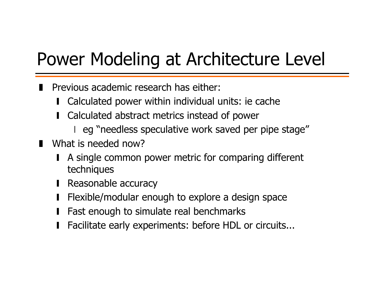## Power Modeling at Architecture Level

- Previous academic research has either:
	- ❙Calculated power within individual units: ie cache
	- ❙ Calculated abstract metrics instead of power
		- eg "needless speculative work saved per pipe stage"
- What is needed now?
	- ❙ A single common power metric for comparing different techniques
	- Reasonable accuracy
	- ❙Flexible/modular enough to explore a design space
	- ❙Fast enough to simulate real benchmarks
	- ❙Facilitate early experiments: before HDL or circuits...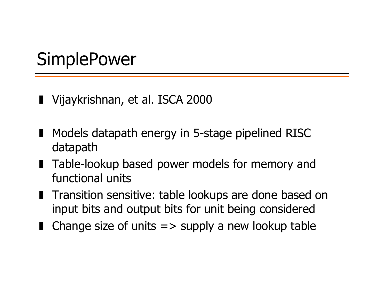## **SimplePower**

- ❚ Vijaykrishnan, et al. ISCA 2000
- Models datapath energy in 5-stage pipelined RISC datapath
- Table-lookup based power models for memory and functional units
- Transition sensitive: table lookups are done based on input bits and output bits for unit being considered
- Change size of units => supply a new lookup table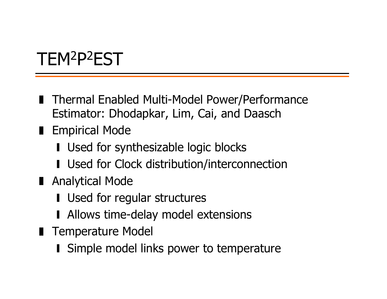# TEM2P2EST

- Thermal Enabled Multi-Model Power/Performance Estimator: Dhodapkar, Lim, Cai, and Daasch
- Empirical Mode
	- Used for synthesizable logic blocks
	- Used for Clock distribution/interconnection
- Analytical Mode
	- Used for regular structures
	- Allows time-delay model extensions
- Temperature Model
	- **■** Simple model links power to temperature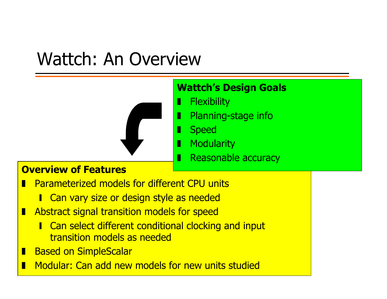## Wattch: An Overview

#### **Wattch's Design Goals**

- ❚**Flexibility** 
	- Planning-stage info
- ❚**Speed**

❚

- ❚**Modularity** 
	- Reasonable accuracy

#### **Overview of Features**

- ❚ Parameterized models for different CPU units
	- ❙ Can vary size or design style as needed
- ❚ Abstract signal transition models for speed
	- **I** Can select different conditional clocking and input transition models as needed
- $\blacksquare$ Based on SimpleScalar
- ❚Modular: Can add new models for new units studied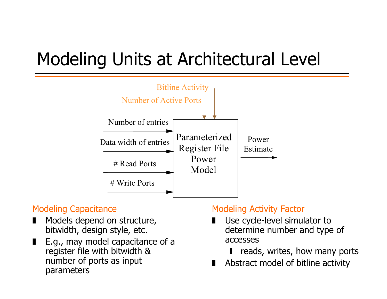# Modeling Units at Architectural Level



#### Modeling Capacitance

- ❚ Models depend on structure, bitwidth, design style, etc.
- ❚ E.g., may model capacitance of a register file with bitwidth & number of ports as input parameters

#### Modeling Activity Factor

- ❚ Use cycle-level simulator to determine number and type of accesses
	- ❙reads, writes, how many ports
- ❚Abstract model of bitline activity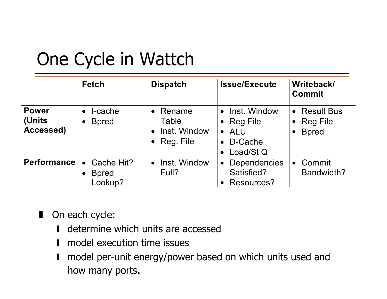## One Cycle in Wattch

|                                     | <b>Fetch</b>                                        | <b>Dispatch</b>                                                                     | <b>Issue/Execute</b>                                                | Writeback/<br><b>Commit</b>                      |
|-------------------------------------|-----------------------------------------------------|-------------------------------------------------------------------------------------|---------------------------------------------------------------------|--------------------------------------------------|
| <b>Power</b><br>(Units<br>Accessed) | I-cache<br>$\bullet$<br><b>B</b> pred<br>$\bullet$  | Rename<br>$\bullet$<br>Table<br>Inst. Window<br>$\bullet$<br>Reg. File<br>$\bullet$ | Inst. Window<br>• Reg File<br>$\bullet$ ALU<br>D-Cache<br>Load/St Q | • Result Bus<br><b>Reg File</b><br><b>B</b> pred |
| <b>Performance</b>                  | Cache Hit?<br>$\bullet$<br><b>B</b> pred<br>Lookup? | Inst. Window<br>$\bullet$<br>Full?                                                  | <b>Dependencies</b><br>$\bullet$<br>Satisfied?<br>Resources?        | Commit<br>$\bullet$<br>Bandwidth?                |

- On each cycle:
	- $\blacksquare$ **I** determine which units are accessed
	- ❙**I** model execution time issues
	- ❙ model per-unit energy/power based on which units used and how many ports.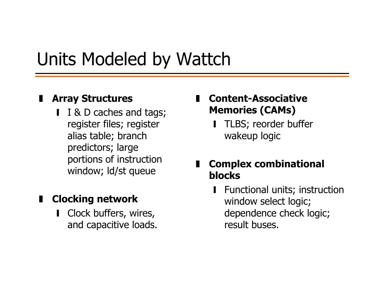## Units Modeled by Wattch

#### $\blacksquare$ **Array Structures**

■ Ⅰ & D caches and tags; register files; register alias table; branch predictors; large portions of instruction window; ld/st queue

#### $\blacksquare$ **Clocking network**

❙ Clock buffers, wires, and capacitive loads.

- **Content-Associative Memories (CAMs)**
	- ❙ TLBS; reorder buffer wakeup logic

#### **Complex combinational blocks**

**■** Functional units; instruction window select logic; dependence check logic; result buses.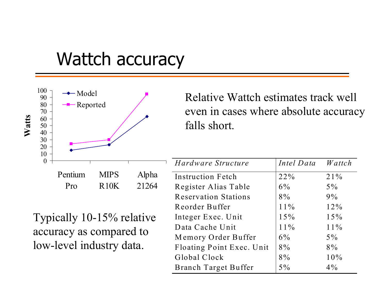#### Wattch accuracy



Relative Wattch estimates track well even in cases where absolute accuracy falls short.

| Hardware Structure          | Intel Data | Wattch |
|-----------------------------|------------|--------|
| <b>Instruction Fetch</b>    | 22%        | 21%    |
| Register Alias Table        | $6\%$      | $5\%$  |
| <b>Reservation Stations</b> | $8\%$      | 9%     |
| Reorder Buffer              | $11\%$     | 12%    |
| Integer Exec. Unit          | 15%        | 15%    |
| Data Cache Unit             | $11\%$     | $11\%$ |
| Memory Order Buffer         | $6\%$      | $5\%$  |
| Floating Point Exec. Unit   | $8\%$      | $8\%$  |
| Global Clock                | $8\%$      | 10%    |
| <b>Branch Target Buffer</b> | $5\%$      | $4\%$  |

Typically 10-15% relative accuracy as compared to low-level industry data.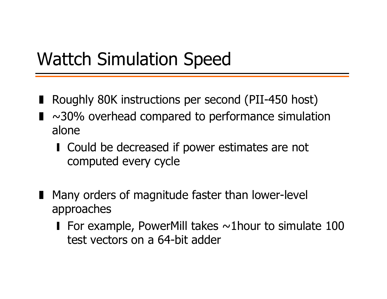## Wattch Simulation Speed

- Roughly 80K instructions per second (PII-450 host)
- ❚ $\sim$ 30% overhead compared to performance simulation alone
	- Could be decreased if power estimates are not computed every cycle
- Many orders of magnitude faster than lower-level approaches
	- **I** For example, PowerMill takes  $\sim$ 1hour to simulate 100 test vectors on a 64-bit adder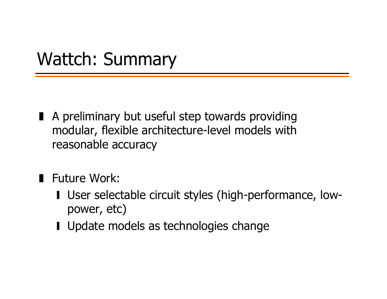#### Wattch: Summary

- A preliminary but useful step towards providing modular, flexible architecture-level models with reasonable accuracy
- Future Work:
	- ❙ User selectable circuit styles (high-performance, lowpower, etc)
	- Update models as technologies change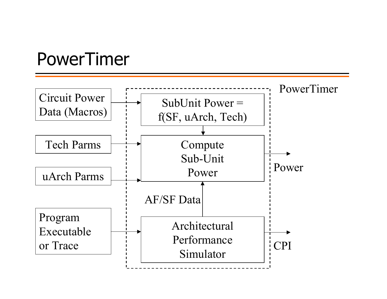#### PowerTimer

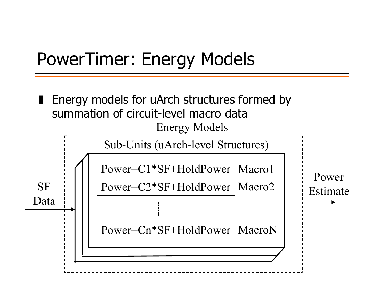## PowerTimer: Energy Models

❚ Energy models for uArch structures formed by summation of circuit-level macro dataPower=C1\*SF+HoldPower Macro1Power=C2\*SF+HoldPower Macro2 Power=Cn\*SF+HoldPower MacroNSub-Units (uArch-level Structures) Energy Models **SF** DataPower Estimate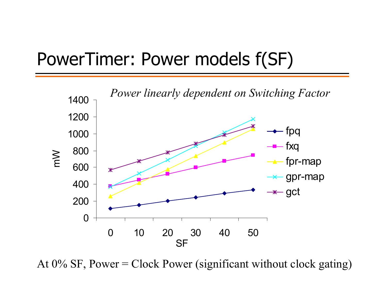#### PowerTimer: Power models f(SF)



At  $0\%$  SF, Power = Clock Power (significant without clock gating)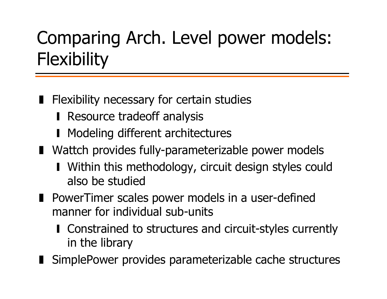# Comparing Arch. Level power models: **Flexibility**

- Flexibility necessary for certain studies
	- **Resource tradeoff analysis**
	- **Modeling different architectures**
- Wattch provides fully-parameterizable power models
	- Within this methodology, circuit design styles could also be studied
- PowerTimer scales power models in a user-defined manner for individual sub-units
	- ❙ Constrained to structures and circuit-styles currently in the library
- SimplePower provides parameterizable cache structures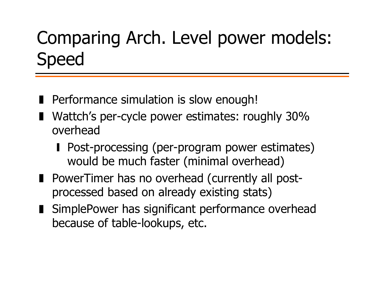## Comparing Arch. Level power models: Speed

- Performance simulation is slow enough!
- Wattch's per-cycle power estimates: roughly 30% overhead
	- **I** Post-processing (per-program power estimates) would be much faster (minimal overhead)
- PowerTimer has no overhead (currently all postprocessed based on already existing stats)
- SimplePower has significant performance overhead because of table-lookups, etc.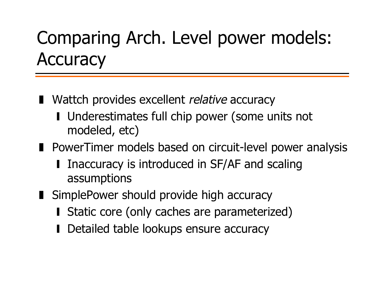# Comparing Arch. Level power models: **Accuracy**

- Wattch provides excellent *relative* accuracy
	- Underestimates full chip power (some units not modeled, etc)
- PowerTimer models based on circuit-level power analysis
	- ❙ Inaccuracy is introduced in SF/AF and scaling assumptions
- SimplePower should provide high accuracy
	- Static core (only caches are parameterized)
	- ❙Detailed table lookups ensure accuracy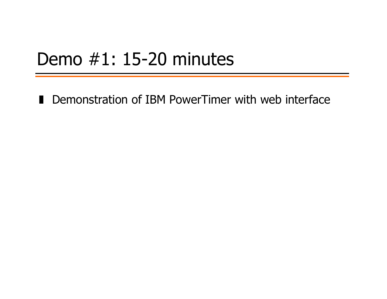#### Demo #1: 15-20 minutes

■ Demonstration of IBM PowerTimer with web interface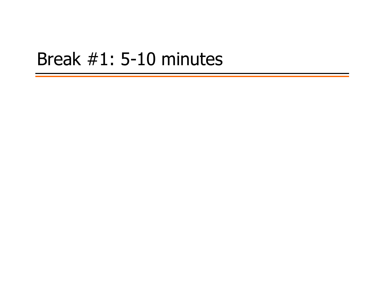#### Break #1: 5-10 minutes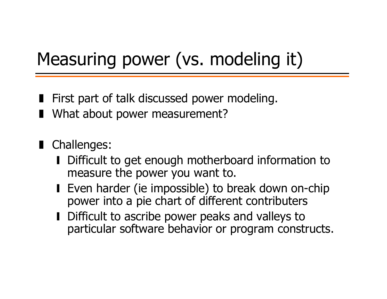# Measuring power (vs. modeling it)

- First part of talk discussed power modeling.
- What about power measurement?
- Challenges:
	- Difficult to get enough motherboard information to measure the power you want to.
	- Even harder (ie impossible) to break down on-chip power into a pie chart of different contributers
	- Difficult to ascribe power peaks and valleys to particular software behavior or program constructs.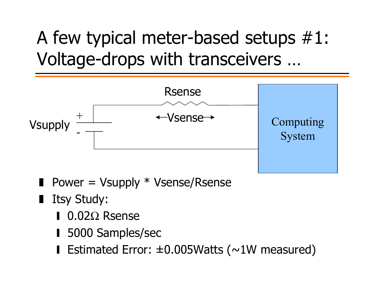## A few typical meter-based setups #1: Voltage-drops with transceivers …



- Power = Vsupply \* Vsense/Rsense
- Itsy Study:
	- ❙ 0.02Ω Rsense
	- 5000 Samples/sec
	- ❙ Estimated Error: ±0.005Watts (~1W measured)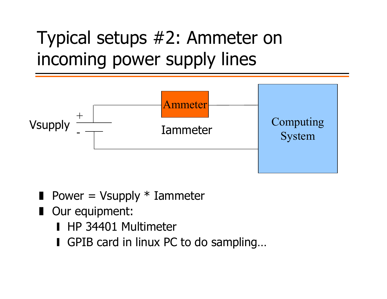# Typical setups #2: Ammeter on incoming power supply lines



- $\blacksquare$  Power = Vsupply  $*$  Iammeter
- Our equipment:
	- HP 34401 Multimeter
	- GPIB card in linux PC to do sampling...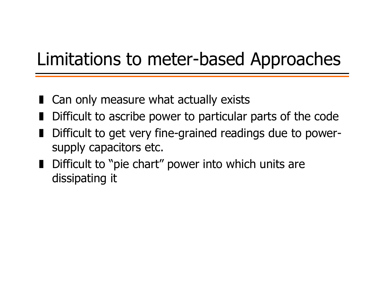## Limitations to meter-based Approaches

- Can only measure what actually exists
- ❚Difficult to ascribe power to particular parts of the code
- Difficult to get very fine-grained readings due to powersupply capacitors etc.
- Difficult to "pie chart" power into which units are dissipating it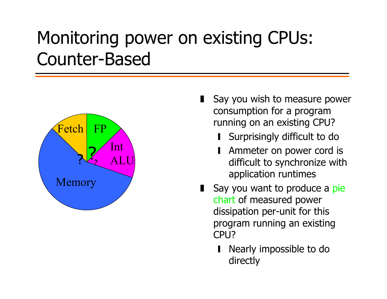## Monitoring power on existing CPUs: Counter-Based



- Say you wish to measure power consumption for a program running on an existing CPU?
	- Surprisingly difficult to do
	- Ammeter on power cord is difficult to synchronize with application runtimes
- Say you want to produce a pie chart of measured power dissipation per-unit for this program running an existing CPU<sub>2</sub>
	- ❙ Nearly impossible to do directly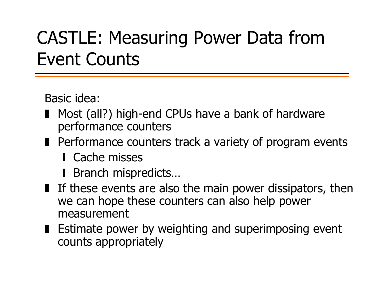## CASTLE: Measuring Power Data from Event Counts

Basic idea:

- Most (all?) high-end CPUs have a bank of hardware performance counters
- Performance counters track a variety of program events
	- **Cache misses**
	- **Branch mispredicts…**
- If these events are also the main power dissipators, then we can hope these counters can also help power measurement
- Estimate power by weighting and superimposing event counts appropriately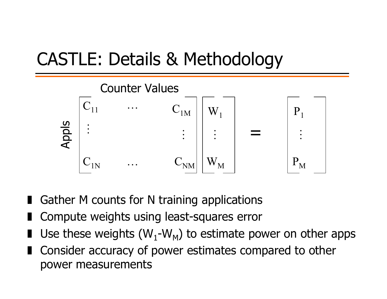## CASTLE: Details & Methodology



- Gather M counts for N training applications
- Compute weights using least-squares error
- **I** Use these weights (W<sub>1</sub>-W<sub>M</sub>) to estimate power on other apps
- Consider accuracy of power estimates compared to other power measurements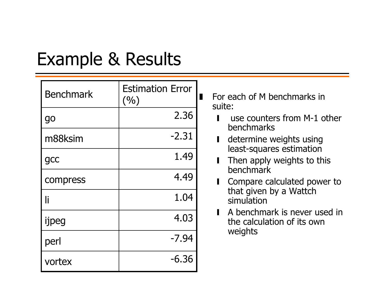## Example & Results

| <b>Benchmark</b> | <b>Estimation Error</b><br>(9/0) |
|------------------|----------------------------------|
| go               | 2.36                             |
| m88ksim          | $-2.31$                          |
| gcc              | 1.49                             |
| compress         | 4.49                             |
| li               | 1.04                             |
| ijpeg            | 4.03                             |
| perl             | $-7.94$                          |
| vortex           | $-6.36$                          |

■ For each of M benchmarks in suite:

- $\blacksquare$  use counters from M-1 other benchmarks
- **■** determine weights using least-squares estimation
- ❙ Then apply weights to this benchmark
- ❙ Compare calculated power to that given by a Wattch simulation
- **■** A benchmark is never used in the calculation of its own weights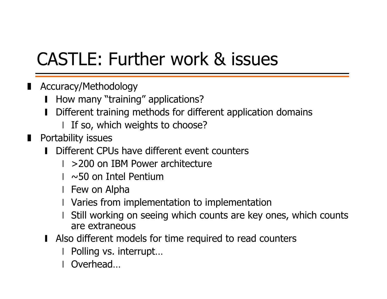## CASTLE: Further work & issues

- ❚ Accuracy/Methodology
	- ❙How many "training" applications?
	- ❙ Different training methods for different application domains
		- ❘I If so, which weights to choose?
- Portability issues
	- ❙**I** Different CPUs have different event counters
		- >200 on IBM Power architecture
		- ❘~50 on Intel Pentium
		- ❘Few on Alpha
		- ❘Varies from implementation to implementation
		- Still working on seeing which counts are key ones, which counts are extraneous
	- Also different models for time required to read counters
		- Polling vs. interrupt…
		- Overhead…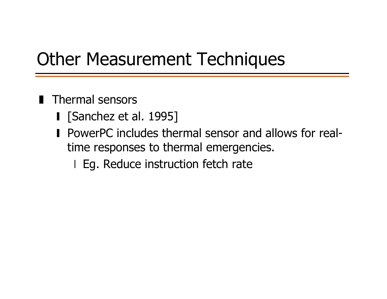## Other Measurement Techniques

- Thermal sensors
	- [Sanchez et al. 1995]
	- PowerPC includes thermal sensor and allows for realtime responses to thermal emergencies.
		- ❘Eg. Reduce instruction fetch rate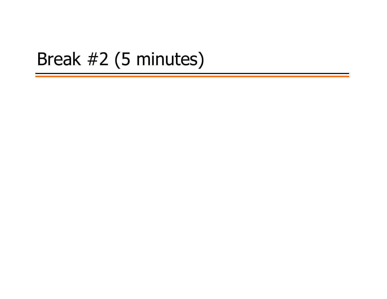#### Break #2 (5 minutes)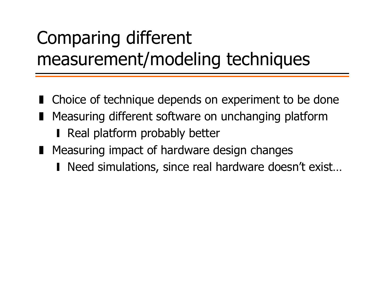# Comparing different measurement/modeling techniques

- Choice of technique depends on experiment to be done
- Measuring different software on unchanging platform
	- **Real platform probably better**
- Measuring impact of hardware design changes
	- Need simulations, since real hardware doesn't exist...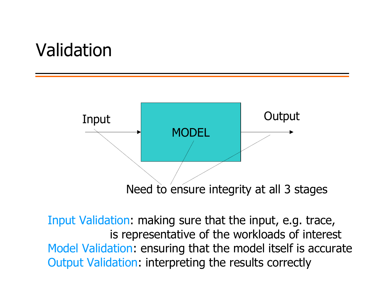#### Validation



Input Validation: making sure that the input, e.g. trace, is representative of the workloads of interest Model Validation: ensuring that the model itself is accurate Output Validation: interpreting the results correctly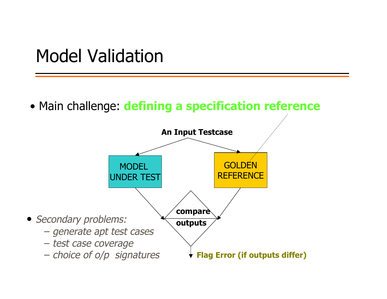Model Validation

• Main challenge: **defining a specification reference**

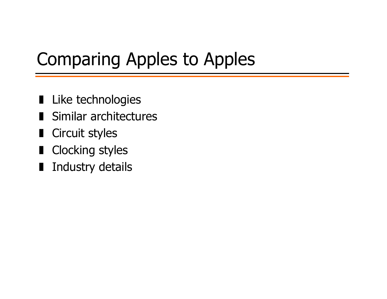## Comparing Apples to Apples

- Like technologies
- ❚Similar architectures
- Circuit styles
- Clocking styles
- Industry details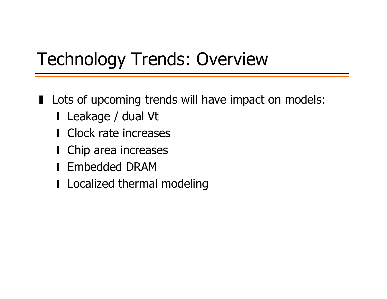## Technology Trends: Overview

- Lots of upcoming trends will have impact on models:
	- ❙ Leakage / dual Vt
	- Clock rate increases
	- Chip area increases
	- ❙ Embedded DRAM
	- Localized thermal modeling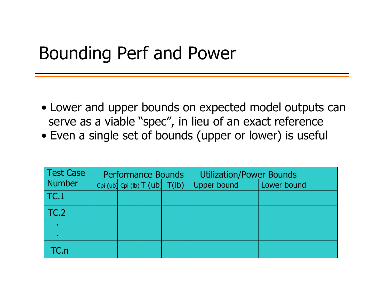#### Bounding Perf and Power

- Lower and upper bounds on expected model outputs can serve as a viable "spec", in lieu of an exact reference
- Even a single set of bounds (upper or lower) is useful

| <b>Test Case</b> | <b>Performance Bounds</b> |  |  |                                     | <b>Utilization/Power Bounds</b> |             |  |  |
|------------------|---------------------------|--|--|-------------------------------------|---------------------------------|-------------|--|--|
| <b>Number</b>    |                           |  |  | Cpi (ub) Cpi (lb) $T$ (ub) $T$ (lb) | <b>Upper bound</b>              | Lower bound |  |  |
| TC.1             |                           |  |  |                                     |                                 |             |  |  |
| TC.2             |                           |  |  |                                     |                                 |             |  |  |
|                  |                           |  |  |                                     |                                 |             |  |  |
|                  |                           |  |  |                                     |                                 |             |  |  |
| TC.n             |                           |  |  |                                     |                                 |             |  |  |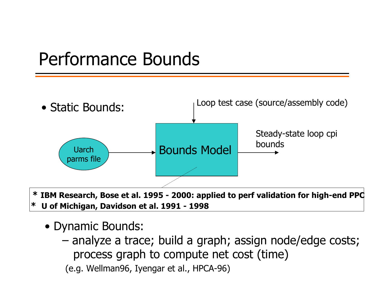### Performance Bounds



**\* IBM Research, Bose et al. 1995 - 2000: applied to perf validation for high-end PPC \* U of Michigan, Davidson et al. 1991 - 1998**

- Dynamic Bounds:
	- – analyze a trace; build a graph; assign node/edge costs; process graph to compute net cost (time)

(e.g. Wellman96, Iyengar et al., HPCA-96)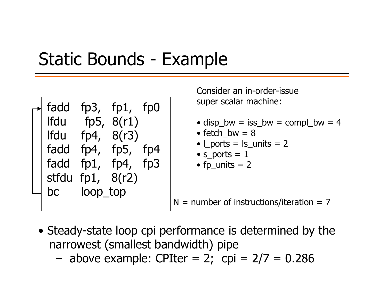#### Static Bounds - Example

| fadd<br><b>Ifdu</b><br>lfdu<br>fadd<br>fadd<br>stfdu<br>bc | loop_top | fp3, $fp1$ , $fp0$<br>fp5, $8(r1)$<br>fp4, $8(r3)$<br>fp4, $fp5$ ,<br>fp1, fp4, fp3<br>fp1, $8(r2)$ | fp4 |  |
|------------------------------------------------------------|----------|-----------------------------------------------------------------------------------------------------|-----|--|
|                                                            |          |                                                                                                     |     |  |

Consider an in-order-issuesuper scalar machine:

- disp\_bw = iss\_bw = compl\_bw = 4
- fetch\_bw = 8
- l\_ports = ls\_units = 2
- $\bullet$  s\_ports =  $1$
- fp\_units = 2

N = number of instructions/iteration = 7

• Steady-state loop cpi performance is determined by the narrowest (smallest bandwidth) pipe

above example: CPIter = 2; cpi = 2/7 = 0.286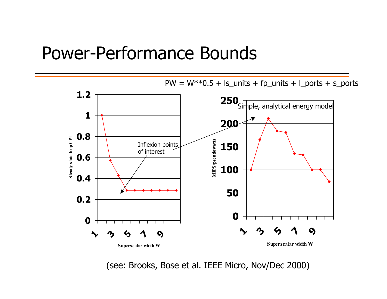#### Power-Performance Bounds



(see: Brooks, Bose et al. IEEE Micro, Nov/Dec 2000)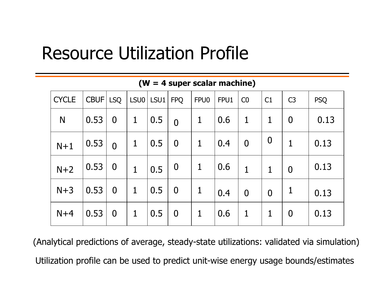#### Resource Utilization Profile

| <b>CYCLE</b> | CBUF LSQ |                  | $ LSU0 LSU1 $ FPQ |     |                | FPU0        | FPU1 | CO             | C1               | C <sub>3</sub> | <b>PSQ</b> |
|--------------|----------|------------------|-------------------|-----|----------------|-------------|------|----------------|------------------|----------------|------------|
| N            | 0.53     | $\overline{0}$   | $\mathbf{1}$      | 0.5 | $\overline{0}$ | $\mathbf 1$ | 0.6  | $\mathbf{1}$   | $\mathbf{1}$     | $\overline{0}$ | 0.13       |
| $N+1$        | 0.53     | $\Omega$         | $\mathbf 1$       | 0.5 | $\overline{0}$ | $\mathbf 1$ | 0.4  | $\overline{0}$ | $\boldsymbol{0}$ | 1              | 0.13       |
| $N+2$        | 0.53     | $\boldsymbol{0}$ | $\mathbf{1}$      | 0.5 | $\overline{0}$ | $\mathbf 1$ | 0.6  | $\mathbf{1}$   | $\mathbf{1}$     | $\overline{0}$ | 0.13       |
| $N+3$        | 0.53     | $\overline{0}$   | $\mathbf{1}$      | 0.5 | $\bf{0}$       | 1           | 0.4  | $\overline{0}$ | $\overline{0}$   | 1              | 0.13       |
| $N+4$        | 0.53     | $\bf{0}$         | $\mathbf{1}$      | 0.5 | $\overline{0}$ | 1           | 0.6  | $\mathbf 1$    | 1                | $\overline{0}$ | 0.13       |

**(W = 4 super scalar machine)**

(Analytical predictions of average, steady-state utilizations: validated via simulation) Utilization profile can be used to predict unit-wise energy usage bounds/estimates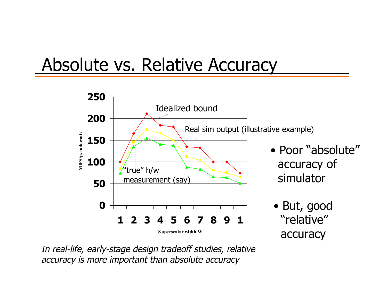### Absolute vs. Relative Accuracy



In real-life, early-stage design tradeoff studies, relative accuracy is more important than absolute accuracy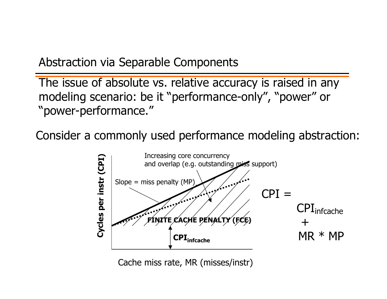Abstraction via Separable Components

The issue of absolute vs. relative accuracy is raised in any modeling scenario: be it "performance-only", "power" or "power-performance."

Consider a commonly used performance modeling abstraction:



Cache miss rate, MR (misses/instr)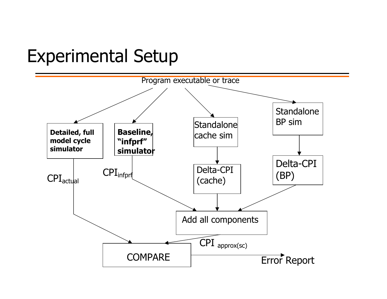#### Experimental Setup

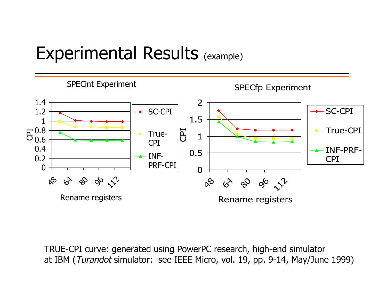#### Experimental Results (example)



TRUE-CPI curve: generated using PowerPC research, high-end simulator at IBM (Turandot simulator: see IEEE Micro, vol. 19, pp. 9-14, May/June 1999)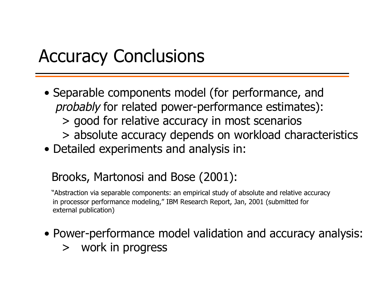#### Accuracy Conclusions

- Separable components model (for performance, and probably for related power-performance estimates): > good for relative accuracy in most scenarios
	- > absolute accuracy depends on workload characteristics
- Detailed experiments and analysis in:

#### Brooks, Martonosi and Bose (2001):

"Abstraction via separable components: an empirical study of absolute and relative accuracy in processor performance modeling," IBM Research Report, Jan, 2001 (submitted for external publication)

- Power-performance model validation and accuracy analysis:
	- > work in progress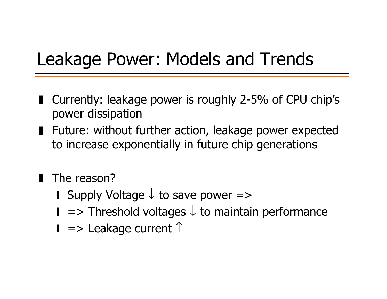## Leakage Power: Models and Trends

- ❚ Currently: leakage power is roughly 2-5% of CPU chip's power dissipation
- Future: without further action, leakage power expected to increase exponentially in future chip generations
- The reason?
	- **I** Supply Voltage  $\downarrow$  to save power =>
	- $\blacksquare$  => Threshold voltages  $\downarrow$  to maintain performance
	- $\blacksquare$  => Leakage current  $\uparrow$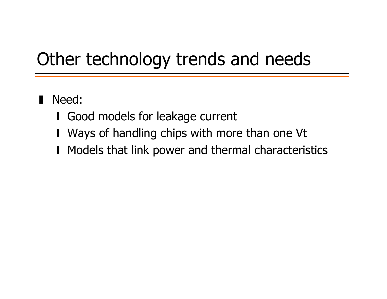## Other technology trends and needs

## ❚Need:

- ❙ Good models for leakage current
- Ways of handling chips with more than one Vt
- Models that link power and thermal characteristics